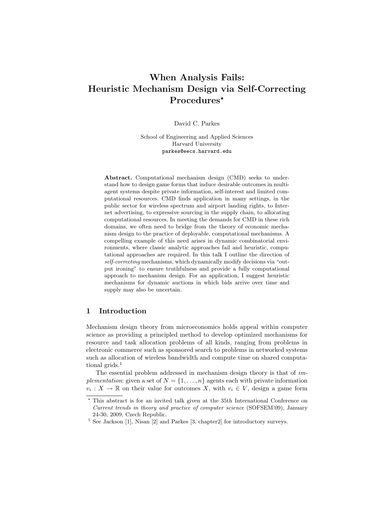## When Analysis Fails: Heuristic Mechanism Design via Self-Correcting Procedures<sup>\*</sup>

David C. Parkes

School of Engineering and Applied Sciences Harvard University parkes@eecs.harvard.edu

Abstract. Computational mechanism design (CMD) seeks to understand how to design game forms that induce desirable outcomes in multiagent systems despite private information, self-interest and limited computational resources. CMD finds application in many settings, in the public sector for wireless spectrum and airport landing rights, to Internet advertising, to expressive sourcing in the supply chain, to allocating computational resources. In meeting the demands for CMD in these rich domains, we often need to bridge from the theory of economic mechanism design to the practice of deployable, computational mechanisms. A compelling example of this need arises in dynamic combinatorial environments, where classic analytic approaches fail and heuristic, computational approaches are required. In this talk I outline the direction of self-correcting mechanisms, which dynamically modify decisions via "output ironing" to ensure truthfulness and provide a fully computational approach to mechanism design. For an application, I suggest heuristic mechanisms for dynamic auctions in which bids arrive over time and supply may also be uncertain.

## 1 Introduction

Mechanism design theory from microeconomics holds appeal within computer science as providing a principled method to develop optimized mechanisms for resource and task allocation problems of all kinds, ranging from problems in electronic commerce such as sponsored search to problems in networked systems such as allocation of wireless bandwidth and compute time on shared computational grids.<sup>1</sup>

The essential problem addressed in mechanism design theory is that of implementation: given a set of  $N = \{1, \ldots, n\}$  agents each with private information  $v_i: X \to \mathbb{R}$  on their value for outcomes X, with  $v_i \in V$ , design a game form

<sup>?</sup> This abstract is for an invited talk given at the 35th International Conference on Current trends in theory and practice of computer science (SOFSEM'09), January 24-30, 2009, Czech Republic.

<sup>&</sup>lt;sup>1</sup> See Jackson [1], Nisan [2] and Parkes [3, chapter2] for introductory surveys.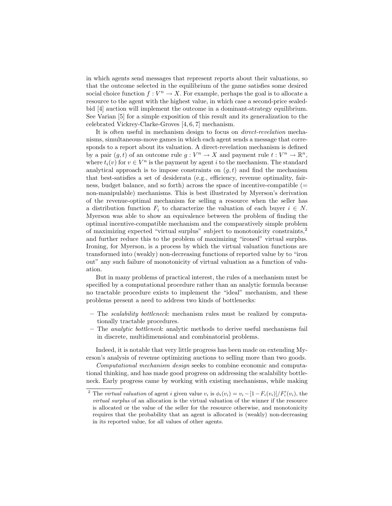in which agents send messages that represent reports about their valuations, so that the outcome selected in the equilibrium of the game satisfies some desired social choice function  $f: V^n \to X$ . For example, perhaps the goal is to allocate a resource to the agent with the highest value, in which case a second-price sealedbid [4] auction will implement the outcome in a dominant-strategy equilibrium. See Varian [5] for a simple exposition of this result and its generalization to the celebrated Vickrey-Clarke-Groves [4, 6, 7] mechanism.

It is often useful in mechanism design to focus on direct-revelation mechanisms, simultaneous-move games in which each agent sends a message that corresponds to a report about its valuation. A direct-revelation mechanism is defined by a pair  $(g, t)$  of an outcome rule  $g: V^n \to X$  and payment rule  $t: V^n \to \mathbb{R}^n$ , where  $t_i(v)$  for  $v \in V^n$  is the payment by agent i to the mechanism. The standard analytical approach is to impose constraints on  $(q, t)$  and find the mechanism that best-satisfies a set of desiderata (e.g., efficiency, revenue optimality, fairness, budget balance, and so forth) across the space of incentive-compatible  $(=$ non-manipulable) mechanisms. This is best illustrated by Myerson's derivation of the revenue-optimal mechanism for selling a resource when the seller has a distribution function  $F_i$  to characterize the valuation of each buyer  $i \in N$ . Myerson was able to show an equivalence between the problem of finding the optimal incentive-compatible mechanism and the comparatively simple problem of maximizing expected "virtual surplus" subject to monotonicity constraints,<sup>2</sup> and further reduce this to the problem of maximizing "ironed" virtual surplus. Ironing, for Myerson, is a process by which the virtual valuation functions are transformed into (weakly) non-decreasing functions of reported value by to "iron out" any such failure of monotonicity of virtual valuation as a function of valuation.

But in many problems of practical interest, the rules of a mechanism must be specified by a computational procedure rather than an analytic formula because no tractable procedure exists to implement the "ideal" mechanism, and these problems present a need to address two kinds of bottlenecks:

- The scalability bottleneck: mechanism rules must be realized by computationally tractable procedures.
- The analytic bottleneck: analytic methods to derive useful mechanisms fail in discrete, multidimensional and combinatorial problems.

Indeed, it is notable that very little progress has been made on extending Myerson's analysis of revenue optimizing auctions to selling more than two goods.

Computational mechanism design seeks to combine economic and computational thinking, and has made good progress on addressing the scalability bottleneck. Early progress came by working with existing mechanisms, while making

<sup>&</sup>lt;sup>2</sup> The virtual valuation of agent i given value  $v_i$  is  $\phi_i(v_i) = v_i - [1 - F_i(v_i)]/F'_i(v_i)$ , the virtual surplus of an allocation is the virtual valuation of the winner if the resource is allocated or the value of the seller for the resource otherwise, and monotonicity requires that the probability that an agent is allocated is (weakly) non-decreasing in its reported value, for all values of other agents.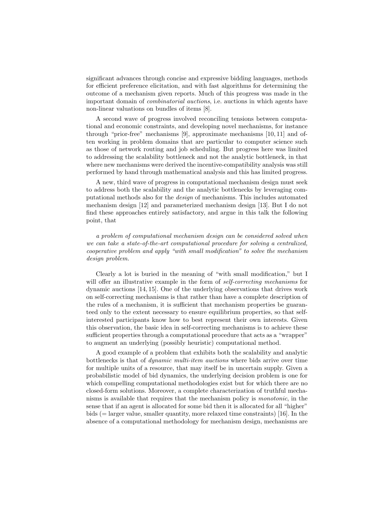significant advances through concise and expressive bidding languages, methods for efficient preference elicitation, and with fast algorithms for determining the outcome of a mechanism given reports. Much of this progress was made in the important domain of combinatorial auctions, i.e. auctions in which agents have non-linear valuations on bundles of items [8].

A second wave of progress involved reconciling tensions between computational and economic constraints, and developing novel mechanisms, for instance through "prior-free" mechanisms [9], approximate mechanisms [10, 11] and often working in problem domains that are particular to computer science such as those of network routing and job scheduling. But progress here was limited to addressing the scalability bottleneck and not the analytic bottleneck, in that where new mechanisms were derived the incentive-compatibility analysis was still performed by hand through mathematical analysis and this has limited progress.

A new, third wave of progress in computational mechanism design must seek to address both the scalability and the analytic bottlenecks by leveraging computational methods also for the design of mechanisms. This includes automated mechanism design [12] and parameterized mechanism design [13]. But I do not find these approaches entirely satisfactory, and argue in this talk the following point, that

a problem of computational mechanism design can be considered solved when we can take a state-of-the-art computational procedure for solving a centralized, cooperative problem and apply "with small modification" to solve the mechanism design problem.

Clearly a lot is buried in the meaning of "with small modification," but I will offer an illustrative example in the form of *self-correcting mechanisms* for dynamic auctions [14, 15]. One of the underlying observations that drives work on self-correcting mechanisms is that rather than have a complete description of the rules of a mechanism, it is sufficient that mechanism properties be guaranteed only to the extent necessary to ensure equilibrium properties, so that selfinterested participants know how to best represent their own interests. Given this observation, the basic idea in self-correcting mechanisms is to achieve these sufficient properties through a computational procedure that acts as a "wrapper" to augment an underlying (possibly heuristic) computational method.

A good example of a problem that exhibits both the scalability and analytic bottlenecks is that of dynamic multi-item auctions where bids arrive over time for multiple units of a resource, that may itself be in uncertain supply. Given a probabilistic model of bid dynamics, the underlying decision problem is one for which compelling computational methodologies exist but for which there are no closed-form solutions. Moreover, a complete characterization of truthful mechanisms is available that requires that the mechanism policy is monotonic, in the sense that if an agent is allocated for some bid then it is allocated for all "higher" bids (= larger value, smaller quantity, more relaxed time constraints) [16]. In the absence of a computational methodology for mechanism design, mechanisms are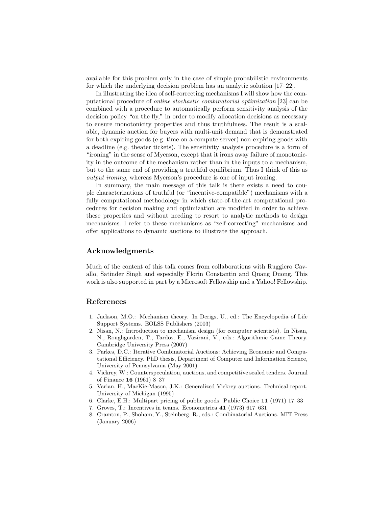available for this problem only in the case of simple probabilistic environments for which the underlying decision problem has an analytic solution [17–22].

In illustrating the idea of self-correcting mechanisms I will show how the computational procedure of online stochastic combinatorial optimization [23] can be combined with a procedure to automatically perform sensitivity analysis of the decision policy "on the fly," in order to modify allocation decisions as necessary to ensure monotonicity properties and thus truthfulness. The result is a scalable, dynamic auction for buyers with multi-unit demand that is demonstrated for both expiring goods (e.g. time on a compute server) non-expiring goods with a deadline (e.g. theater tickets). The sensitivity analysis procedure is a form of "ironing" in the sense of Myerson, except that it irons away failure of monotonicity in the outcome of the mechanism rather than in the inputs to a mechanism, but to the same end of providing a truthful equilibrium. Thus I think of this as output ironing, whereas Myerson's procedure is one of input ironing.

In summary, the main message of this talk is there exists a need to couple characterizations of truthful (or "incentive-compatible") mechanisms with a fully computational methodology in which state-of-the-art computational procedures for decision making and optimization are modified in order to achieve these properties and without needing to resort to analytic methods to design mechanisms. I refer to these mechanisms as "self-correcting" mechanisms and offer applications to dynamic auctions to illustrate the approach.

## Acknowledgments

Much of the content of this talk comes from collaborations with Ruggiero Cavallo, Satinder Singh and especially Florin Constantin and Quang Duong. This work is also supported in part by a Microsoft Fellowship and a Yahoo! Fellowship.

## References

- 1. Jackson, M.O.: Mechanism theory. In Derigs, U., ed.: The Encyclopedia of Life Support Systems. EOLSS Publishers (2003)
- 2. Nisan, N.: Introduction to mechanism design (for computer scientists). In Nisan, N., Roughgarden, T., Tardos, E., Vazirani, V., eds.: Algorithmic Game Theory. Cambridge University Press (2007)
- 3. Parkes, D.C.: Iterative Combinatorial Auctions: Achieving Economic and Computational Efficiency. PhD thesis, Department of Computer and Information Science, University of Pennsylvania (May 2001)
- 4. Vickrey, W.: Counterspeculation, auctions, and competitive sealed tenders. Journal of Finance 16 (1961) 8–37
- 5. Varian, H., MacKie-Mason, J.K.: Generalized Vickrey auctions. Technical report, University of Michigan (1995)
- 6. Clarke, E.H.: Multipart pricing of public goods. Public Choice 11 (1971) 17–33
- 7. Groves, T.: Incentives in teams. Econometrica 41 (1973) 617–631
- 8. Cramton, P., Shoham, Y., Steinberg, R., eds.: Combinatorial Auctions. MIT Press (January 2006)